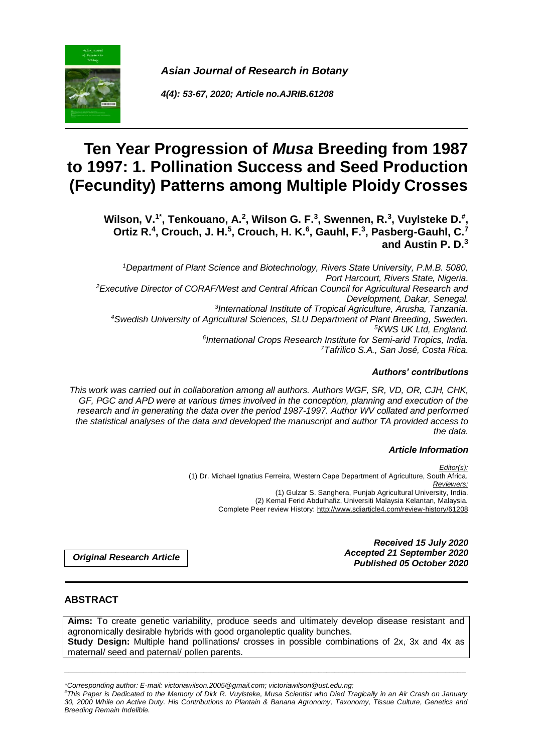

*Asian Journal of Research in Botany*

*4(4): 53-67, 2020; Article no.AJRIB.61208*

# **Ten Year Progression of** *Musa* **Breeding from 1987 to 1997: 1. Pollination Success and Seed Production (Fecundity) Patterns among Multiple Ploidy Crosses**

Wilson, V.<sup>1\*</sup>, Tenkouano, A.<sup>2</sup>, Wilson G. F.<sup>3</sup>, Swennen, R.<sup>3</sup>, Vuylsteke D.<sup>#</sup>, Ortiz R.<sup>4</sup>, Crouch, J. H.<sup>5</sup>, Crouch, H. K.<sup>6</sup>, Gauhl, F.<sup>3</sup>, Pasberg-Gauhl, C.<sup>7</sup> **and Austin P. D.<sup>3</sup>**

*Department of Plant Science and Biotechnology, Rivers State University, P.M.B. 5080, Port Harcourt, Rivers State, Nigeria. Executive Director of CORAF/West and Central African Council for Agricultural Research and Development, Dakar, Senegal. International Institute of Tropical Agriculture, Arusha, Tanzania. Swedish University of Agricultural Sciences, SLU Department of Plant Breeding, Sweden. KWS UK Ltd, England. International Crops Research Institute for Semi-arid Tropics, India. Tafrilico S.A., San José, Costa Rica.*

## *Authors' contributions*

*This work was carried out in collaboration among all authors. Authors WGF, SR, VD, OR, CJH, CHK, GF, PGC and APD were at various times involved in the conception, planning and execution of the research and in generating the data over the period 1987-1997. Author WV collated and performed the statistical analyses of the data and developed the manuscript and author TA provided access to the data.*

#### *Article Information*

*Editor(s):* (1) Dr. Michael Ignatius Ferreira, Western Cape Department of Agriculture, South Africa. *Reviewers:* (1) Gulzar S. Sanghera, Punjab Agricultural University, India. (2) Kemal Ferid Abdulhafiz, Universiti Malaysia Kelantan, Malaysia. Complete Peer review History: http://www.sdiarticle4.com/review-history/61208

> *Received 15 July 2020 Accepted 21 September 2020 Published 05 October 2020*

*Original Research Article*

# **ABSTRACT**

**Aims:** To create genetic variability, produce seeds and ultimately develop disease resistant and agronomically desirable hybrids with good organoleptic quality bunches. **Study Design:** Multiple hand pollinations/ crosses in possible combinations of 2x, 3x and 4x as maternal/ seed and paternal/ pollen parents.

*\*Corresponding author: E-mail: victoriawilson.2005@gmail.com; victoriawilson@ust.edu.ng;*

*#This Paper is Dedicated to the Memory of Dirk R. Vuylsteke, Musa Scientist who Died Tragically in an Air Crash on January 30, 2000 While on Active Duty. His Contributions to Plantain & Banana Agronomy, Taxonomy, Tissue Culture, Genetics and Breeding Remain Indelible.*

\_\_\_\_\_\_\_\_\_\_\_\_\_\_\_\_\_\_\_\_\_\_\_\_\_\_\_\_\_\_\_\_\_\_\_\_\_\_\_\_\_\_\_\_\_\_\_\_\_\_\_\_\_\_\_\_\_\_\_\_\_\_\_\_\_\_\_\_\_\_\_\_\_\_\_\_\_\_\_\_\_\_\_\_\_\_\_\_\_\_\_\_\_\_\_\_\_\_\_\_\_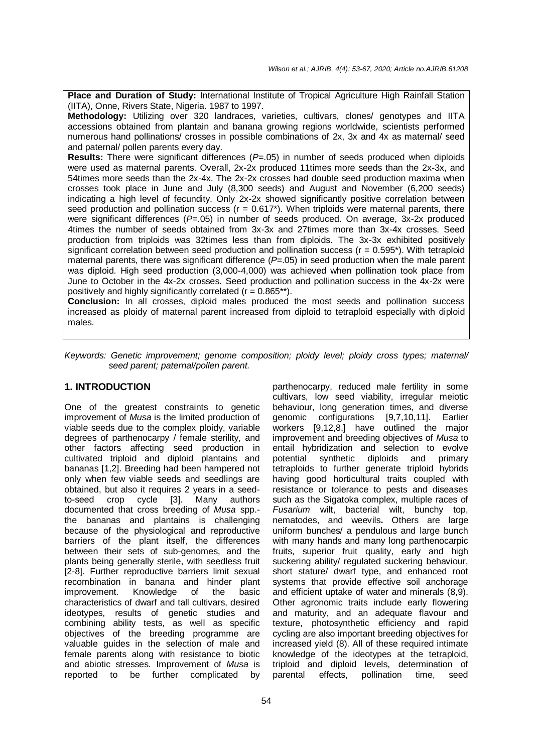**Place and Duration of Study: International Institute of Tropical Agriculture High Rainfall Station** (IITA), Onne, Rivers State, Nigeria. 1987 to 1997.

**Methodology:** Utilizing over 320 landraces, varieties, cultivars, clones/ genotypes and IITA accessions obtained from plantain and banana growing regions worldwide, scientists performed numerous hand pollinations/ crosses in possible combinations of 2x, 3x and 4x as maternal/ seed and paternal/ pollen parents every day.

**Results:** There were significant differences (*P*=.05) in number of seeds produced when diploids were used as maternal parents. Overall, 2x-2x produced 11times more seeds than the 2x-3x, and 54times more seeds than the 2x-4x. The 2x-2x crosses had double seed production maxima when crosses took place in June and July (8,300 seeds) and August and November (6,200 seeds) indicating a high level of fecundity. Only 2x-2x showed significantly positive correlation between seed production and pollination success  $(r = 0.617^*)$ . When triploids were maternal parents, there were significant differences (P=.05) in number of seeds produced. On average, 3x-2x produced 4times the number of seeds obtained from 3x-3x and 27times more than 3x-4x crosses. Seed production from triploids was 32times less than from diploids. The 3x-3x exhibited positively significant correlation between seed production and pollination success ( $r = 0.595$ <sup>\*</sup>). With tetraploid maternal parents, there was significant difference (*P*=.05) in seed production when the male parent was diploid. High seed production (3,000-4,000) was achieved when pollination took place from June to October in the 4x-2x crosses. Seed production and pollination success in the 4x-2x were positively and highly significantly correlated  $(r = 0.865**)$ .

**Conclusion:** In all crosses, diploid males produced the most seeds and pollination success increased as ploidy of maternal parent increased from diploid to tetraploid especially with diploid males.

*Keywords: Genetic improvement; genome composition; ploidy level; ploidy cross types; maternal/ seed parent; paternal/pollen parent.*

#### **1. INTRODUCTION**

One of the greatest constraints to genetic improvement of *Musa* is the limited production of viable seeds due to the complex ploidy, variable degrees of parthenocarpy / female sterility, and other factors affecting seed production in cultivated triploid and diploid plantains and bananas [1,2]. Breeding had been hampered not only when few viable seeds and seedlings are obtained, but also it requires 2 years in a seedto-seed crop cycle [3]. Many authors documented that cross breeding of *Musa* spp. the bananas and plantains is challenging because of the physiological and reproductive barriers of the plant itself, the differences between their sets of sub-genomes, and the plants being generally sterile, with seedless fruit [2-8]. Further reproductive barriers limit sexual recombination in banana and hinder plant improvement. Knowledge of the basic characteristics of dwarf and tall cultivars, desired ideotypes, results of genetic studies and combining ability tests, as well as specific objectives of the breeding programme are valuable guides in the selection of male and female parents along with resistance to biotic and abiotic stresses. Improvement of *Musa* is reported to be further complicated by

parthenocarpy, reduced male fertility in some cultivars, low seed viability, irregular meiotic behaviour, long generation times, and diverse genomic configurations [9,7,10,11]. Earlier workers [9,12,8,] have outlined the major improvement and breeding objectives of *Musa* to entail hybridization and selection to evolve potential synthetic diploids and primary tetraploids to further generate triploid hybrids having good horticultural traits coupled with resistance or tolerance to pests and diseases such as the Sigatoka complex, multiple races of *Fusarium* wilt, bacterial wilt, bunchy top, nematodes, and weevils**.** Others are large uniform bunches/ a pendulous and large bunch with many hands and many long parthenocarpic fruits, superior fruit quality, early and high suckering ability/ regulated suckering behaviour, short stature/ dwarf type, and enhanced root systems that provide effective soil anchorage and efficient uptake of water and minerals (8,9). Other agronomic traits include early flowering and maturity, and an adequate flavour and texture, photosynthetic efficiency and rapid cycling are also important breeding objectives for increased yield (8). All of these required intimate knowledge of the ideotypes at the tetraploid, triploid and diploid levels, determination of parental effects, pollination time, seed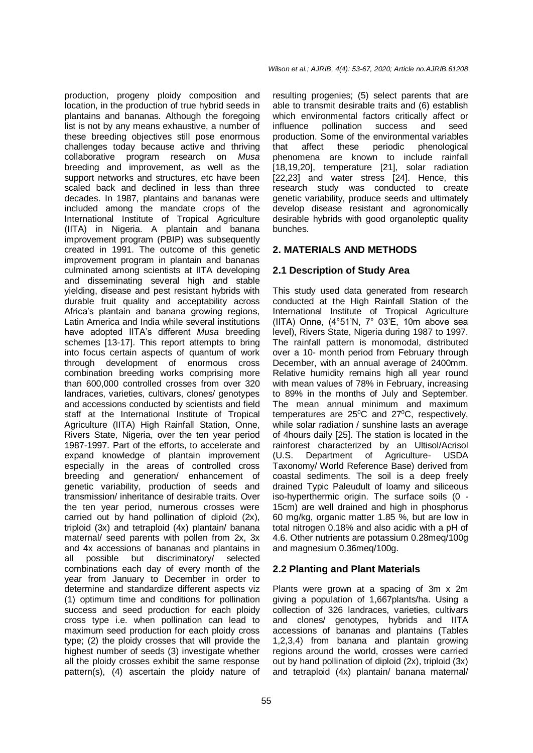production, progeny ploidy composition and location, in the production of true hybrid seeds in plantains and bananas. Although the foregoing list is not by any means exhaustive, a number of these breeding objectives still pose enormous challenges today because active and thriving collaborative program research on *Musa* breeding and improvement, as well as the support networks and structures, etc have been scaled back and declined in less than three decades. In 1987, plantains and bananas were included among the mandate crops of the International Institute of Tropical Agriculture (IITA) in Nigeria. A plantain and banana improvement program (PBIP) was subsequently created in 1991. The outcome of this genetic improvement program in plantain and bananas culminated among scientists at IITA developing and disseminating several high and stable yielding, disease and pest resistant hybrids with durable fruit quality and acceptability across Africa's plantain and banana growing regions, Latin America and India while several institutions have adopted IITA's different *Musa* breeding schemes [13-17]. This report attempts to bring into focus certain aspects of quantum of work through development of enormous cross combination breeding works comprising more than 600,000 controlled crosses from over 320 landraces, varieties, cultivars, clones/ genotypes and accessions conducted by scientists and field staff at the International Institute of Tropical Agriculture (IITA) High Rainfall Station, Onne, Rivers State, Nigeria, over the ten year period 1987-1997. Part of the efforts, to accelerate and expand knowledge of plantain improvement especially in the areas of controlled cross breeding and generation/ enhancement of genetic variability, production of seeds and transmission/ inheritance of desirable traits. Over the ten year period, numerous crosses were carried out by hand pollination of diploid (2x), triploid (3x) and tetraploid (4x) plantain/ banana maternal/ seed parents with pollen from 2x, 3x and 4x accessions of bananas and plantains in all possible but discriminatory/ selected combinations each day of every month of the year from January to December in order to determine and standardize different aspects viz (1) optimum time and conditions for pollination success and seed production for each ploidy cross type i.e. when pollination can lead to maximum seed production for each ploidy cross type; (2) the ploidy crosses that will provide the highest number of seeds (3) investigate whether all the ploidy crosses exhibit the same response pattern(s), (4) ascertain the ploidy nature of

resulting progenies; (5) select parents that are able to transmit desirable traits and (6) establish which environmental factors critically affect or influence pollination success and seed production. Some of the environmental variables that affect these periodic phenological phenomena are known to include rainfall [18,19,20], temperature [21], solar radiation [22,23] and water stress [24]. Hence, this research study was conducted to create genetic variability, produce seeds and ultimately develop disease resistant and agronomically desirable hybrids with good organoleptic quality bunches.

#### **2. MATERIALS AND METHODS**

#### **2.1 Description of Study Area**

This study used data generated from research conducted at the High Rainfall Station of the International Institute of Tropical Agriculture (IITA) Onne, (4°51'N, 7° 03'E, 10m above sea level), Rivers State, Nigeria during 1987 to 1997. The rainfall pattern is monomodal, distributed over a 10- month period from February through December, with an annual average of 2400mm. Relative humidity remains high all year round with mean values of 78% in February, increasing to 89% in the months of July and September. The mean annual minimum and maximum temperatures are  $25^{\circ}$ C and  $27^{\circ}$ C, respectively, while solar radiation / sunshine lasts an average of 4hours daily [25]. The station is located in the rainforest characterized by an Ultisol/Acrisol (U.S. Department of Agriculture- USDA Taxonomy/ World Reference Base) derived from coastal sediments. The soil is a deep freely drained Typic Paleudult of loamy and siliceous iso-hyperthermic origin. The surface soils (0 - 15cm) are well drained and high in phosphorus 60 mg/kg, organic matter 1.85 %, but are low in total nitrogen 0.18% and also acidic with a pH of 4.6. Other nutrients are potassium 0.28meq/100g and magnesium 0.36meq/100g.

#### **2.2 Planting and Plant Materials**

Plants were grown at a spacing of 3m x 2m giving a population of 1,667plants/ha. Using a collection of 326 landraces, varieties, cultivars and clones/ genotypes, hybrids and IITA accessions of bananas and plantains (Tables 1,2,3,4) from banana and plantain growing regions around the world, crosses were carried out by hand pollination of diploid (2x), triploid (3x) and tetraploid (4x) plantain/ banana maternal/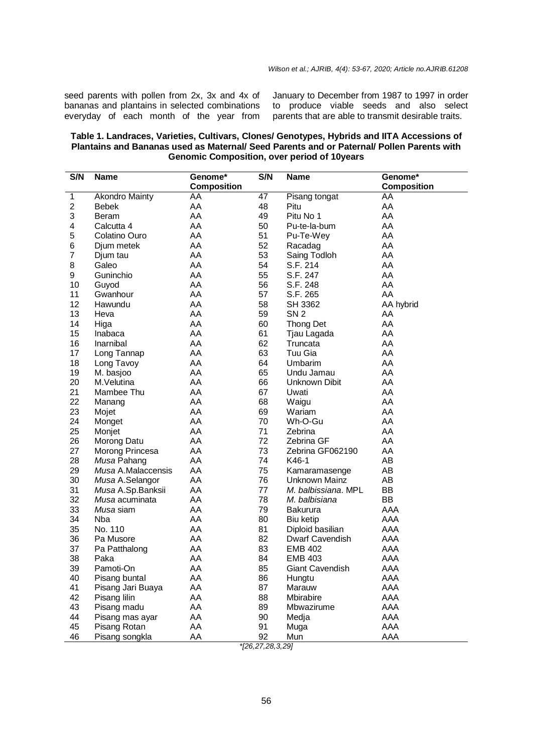seed parents with pollen from 2x, 3x and 4x of bananas and plantains in selected combinations everyday of each month of the year from

January to December from 1987 to 1997 in order to produce viable seeds and also select parents that are able to transmit desirable traits.

| Table 1. Landraces, Varieties, Cultivars, Clones/ Genotypes, Hybrids and IITA Accessions of |
|---------------------------------------------------------------------------------------------|
| Plantains and Bananas used as Maternal/ Seed Parents and or Paternal/ Pollen Parents with   |
| <b>Genomic Composition, over period of 10 years</b>                                         |

| <b>Composition</b><br><b>Composition</b><br>47<br>1<br><b>Akondro Mainty</b><br>AA<br>Pisang tongat<br>AA<br>2<br>AA<br>AA<br><b>Bebek</b><br>48<br>Pitu<br>3<br>AA<br>49<br>Pitu No 1<br>AA<br>Beram<br>AA<br>50<br>AA<br>4<br>Calcutta 4<br>Pu-te-la-bum<br>5<br>AA<br>51<br>AA<br>Colatino Ouro<br>Pu-Te-Wey |  |
|-----------------------------------------------------------------------------------------------------------------------------------------------------------------------------------------------------------------------------------------------------------------------------------------------------------------|--|
|                                                                                                                                                                                                                                                                                                                 |  |
|                                                                                                                                                                                                                                                                                                                 |  |
|                                                                                                                                                                                                                                                                                                                 |  |
|                                                                                                                                                                                                                                                                                                                 |  |
|                                                                                                                                                                                                                                                                                                                 |  |
|                                                                                                                                                                                                                                                                                                                 |  |
| AA<br>52<br>AA<br>6<br>Racadag<br>Djum metek                                                                                                                                                                                                                                                                    |  |
| AA<br>7<br>AA<br>53<br>Saing Todloh<br>Djum tau                                                                                                                                                                                                                                                                 |  |
| 8<br>AA<br>Galeo<br>AA<br>54<br>S.F. 214                                                                                                                                                                                                                                                                        |  |
| AA<br>AA<br>9<br>Guninchio<br>55<br>S.F. 247                                                                                                                                                                                                                                                                    |  |
| AA<br>S.F. 248<br>AA<br>10<br>56<br>Guyod                                                                                                                                                                                                                                                                       |  |
| 11<br>AA<br>57<br>S.F. 265<br>AA<br>Gwanhour                                                                                                                                                                                                                                                                    |  |
| 12<br>AA<br>58<br>SH 3362<br>Hawundu<br>AA hybrid                                                                                                                                                                                                                                                               |  |
| 13<br>AA<br>59<br>SN <sub>2</sub><br>AA<br>Heva                                                                                                                                                                                                                                                                 |  |
| 14<br>AA<br>Higa<br>60<br><b>Thong Det</b><br>AA                                                                                                                                                                                                                                                                |  |
| 15<br>AA<br>61<br>AA<br>Inabaca<br>Tjau Lagada                                                                                                                                                                                                                                                                  |  |
| 16<br>AA<br>62<br>AA<br>Inarnibal<br>Truncata                                                                                                                                                                                                                                                                   |  |
| 17<br>AA<br>63<br>Tuu Gia<br>AA<br>Long Tannap                                                                                                                                                                                                                                                                  |  |
| 18<br>AA<br>Long Tavoy<br>AA<br>64<br>Umbarim                                                                                                                                                                                                                                                                   |  |
| 19<br>AA<br>M. basjoo<br>AA<br>65<br>Undu Jamau                                                                                                                                                                                                                                                                 |  |
| 20<br>AA<br>AA<br>M.Velutina<br>66<br>Unknown Dibit                                                                                                                                                                                                                                                             |  |
| 21<br>AA<br>AA<br>67<br>Mambee Thu<br>Uwati                                                                                                                                                                                                                                                                     |  |
| 22<br>AA<br>68<br>AA<br>Waigu<br>Manang                                                                                                                                                                                                                                                                         |  |
| 23<br>AA<br>AA<br>Mojet<br>69<br>Wariam                                                                                                                                                                                                                                                                         |  |
| 24<br>AA<br>AA<br>70<br>Wh-O-Gu<br>Monget                                                                                                                                                                                                                                                                       |  |
| 25<br>AA<br>71<br>AA<br>Zebrina<br>Monjet                                                                                                                                                                                                                                                                       |  |
| 26<br>AA<br>72<br>AA<br>Zebrina GF<br>Morong Datu                                                                                                                                                                                                                                                               |  |
| 27<br>AA<br>73<br>AA<br>Morong Princesa<br>Zebrina GF062190                                                                                                                                                                                                                                                     |  |
| 28<br>AA<br>AB<br>Musa Pahang<br>74<br>K46-1                                                                                                                                                                                                                                                                    |  |
| 29<br>AA<br>AB<br>Musa A.Malaccensis<br>75<br>Kamaramasenge                                                                                                                                                                                                                                                     |  |
| 30<br>Musa A.Selangor<br>AA<br>76<br>Unknown Mainz<br>AB                                                                                                                                                                                                                                                        |  |
| 31<br>AA<br><b>BB</b><br>Musa A.Sp.Banksii<br>77<br>M. balbissiana. MPL                                                                                                                                                                                                                                         |  |
| <b>BB</b><br>32<br>AA<br>78<br>Musa acuminata<br>M. balbisiana                                                                                                                                                                                                                                                  |  |
| 33<br>AA<br>AAA<br>Musa siam<br>79<br><b>Bakurura</b>                                                                                                                                                                                                                                                           |  |
| AA<br>AAA<br>34<br>Nba<br>80<br><b>Biu ketip</b>                                                                                                                                                                                                                                                                |  |
| 35<br>No. 110<br>AA<br>AAA<br>81<br>Diploid basilian                                                                                                                                                                                                                                                            |  |
| 36<br>AAA<br>Pa Musore<br>AA<br>82<br>Dwarf Cavendish                                                                                                                                                                                                                                                           |  |
| 37<br>AA<br>AAA<br>Pa Patthalong<br>83<br><b>EMB 402</b>                                                                                                                                                                                                                                                        |  |
| 38<br>AA<br><b>EMB 403</b><br>AAA<br>Paka<br>84                                                                                                                                                                                                                                                                 |  |
| 39<br>85<br>Pamoti-On<br>AA<br><b>Giant Cavendish</b><br>AAA                                                                                                                                                                                                                                                    |  |
| AAA<br>40<br>AA<br>Pisang buntal<br>86<br>Hungtu                                                                                                                                                                                                                                                                |  |
| Pisang Jari Buaya<br>AA<br>87<br>AAA<br>41<br>Marauw                                                                                                                                                                                                                                                            |  |
| AAA<br>42<br>Pisang lilin<br>AA<br>88<br>Mbirabire                                                                                                                                                                                                                                                              |  |
| AA<br>AAA<br>43<br>Pisang madu<br>89<br>Mbwazirume                                                                                                                                                                                                                                                              |  |
| 44<br>AA<br>90<br>AAA<br>Pisang mas ayar<br>Medja                                                                                                                                                                                                                                                               |  |
| 45<br>AA<br>91<br>AAA<br>Pisang Rotan<br>Muga                                                                                                                                                                                                                                                                   |  |
| AAA<br>46<br>Pisang songkla<br>AA<br>92<br>Mun                                                                                                                                                                                                                                                                  |  |

*<sup>\*[26,27,28,3,29]</sup>*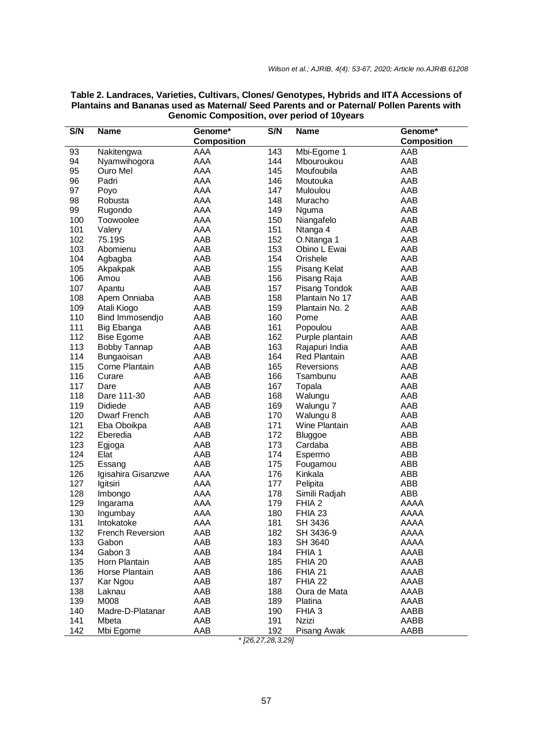| S/N | <b>Name</b>         | Genome*            | S/N | <b>Name</b>         | Genome*            |
|-----|---------------------|--------------------|-----|---------------------|--------------------|
|     |                     | <b>Composition</b> |     |                     | <b>Composition</b> |
| 93  | Nakitengwa          | AAA                | 143 | Mbi-Egome 1         | AAB                |
| 94  | Nyamwihogora        | AAA                | 144 | Mbouroukou          | AAB                |
| 95  | Ouro Mel            | AAA                | 145 | Moufoubila          | AAB                |
| 96  | Padri               | AAA                | 146 | Moutouka            | AAB                |
| 97  | Poyo                | AAA                | 147 | Muloulou            | AAB                |
| 98  | Robusta             | AAA                | 148 | Muracho             | AAB                |
| 99  | Rugondo             | AAA                | 149 | Nguma               | AAB                |
| 100 | Toowoolee           | AAA                | 150 | Niangafelo          | AAB                |
| 101 | Valery              | AAA                | 151 | Ntanga 4            | AAB                |
| 102 | 75.19S              | AAB                | 152 | O.Ntanga 1          | AAB                |
| 103 | Abomienu            | AAB                | 153 | Obino L Ewai        | AAB                |
| 104 | Agbagba             | AAB                | 154 | Orishele            | AAB                |
| 105 | Akpakpak            | AAB                | 155 | <b>Pisang Kelat</b> | AAB                |
| 106 | Amou                | AAB                | 156 | Pisang Raja         | AAB                |
| 107 | Apantu              | AAB                | 157 | Pisang Tondok       | AAB                |
| 108 | Apem Onniaba        | AAB                | 158 | Plantain No 17      | AAB                |
| 109 | Atali Kiogo         | AAB                | 159 | Plantain No. 2      | AAB                |
| 110 | Bind Immosendjo     | AAB                | 160 | Pome                | AAB                |
| 111 | Big Ebanga          | AAB                | 161 | Popoulou            | AAB                |
| 112 | <b>Bise Egome</b>   | AAB                | 162 | Purple plantain     | AAB                |
| 113 | <b>Bobby Tannap</b> | AAB                | 163 | Rajapuri India      | AAB                |
| 114 | Bungaoisan          | AAB                | 164 | <b>Red Plantain</b> | AAB                |
| 115 | Corne Plantain      | AAB                | 165 | Reversions          | AAB                |
| 116 | Curare              | AAB                | 166 | Tsambunu            | AAB                |
| 117 | Dare                | AAB                | 167 | Topala              | AAB                |
| 118 | Dare 111-30         | AAB                | 168 | Walungu             | AAB                |
| 119 | <b>Didiede</b>      | AAB                | 169 | Walungu 7           | AAB                |
| 120 | Dwarf French        | AAB                | 170 | Walungu 8           | AAB                |
| 121 | Eba Oboikpa         | AAB                | 171 | Wine Plantain       | AAB                |
| 122 | Eberedia            | AAB                | 172 | Bluggoe             | ABB                |
| 123 | Egjoga              | AAB                | 173 | Cardaba             | ABB                |
| 124 | Elat                | AAB                | 174 | Espermo             | ABB                |
| 125 | Essang              | AAB                | 175 | Fougamou            | ABB                |
| 126 | Igisahira Gisanzwe  | AAA                | 176 | Kinkala             | ABB                |
| 127 | Igitsiri            | AAA                | 177 | Pelipita            | ABB                |
| 128 | Imbongo             | AAA                | 178 | Simili Radjah       | ABB                |
| 129 | Ingarama            | AAA                | 179 | FHIA 2              | AAAA               |
| 130 | Ingumbay            | AAA                | 180 | FHIA 23             | <b>AAAA</b>        |
| 131 | Intokatoke          | AAA                | 181 | SH 3436             | AAAA               |
| 132 | French Reversion    | AAB                | 182 | SH 3436-9           | AAAA               |
| 133 | Gabon               | AAB                | 183 | SH 3640             | AAAA               |
| 134 | Gabon 3             | AAB                | 184 | FHIA 1              | AAAB               |
| 135 | Horn Plantain       | AAB                | 185 | FHIA 20             | AAAB               |
|     |                     |                    |     |                     |                    |
| 136 | Horse Plantain      | AAB                | 186 | FHIA 21             | AAAB               |
| 137 | Kar Ngou            | AAB                | 187 | FHIA 22             | AAAB               |
| 138 | Laknau              | AAB                | 188 | Oura de Mata        | AAAB               |
| 139 | M008                | AAB                | 189 | Platina             | AAAB               |
| 140 | Madre-D-Platanar    | AAB                | 190 | FHIA <sub>3</sub>   | AABB               |
| 141 | Mbeta               | AAB                | 191 | Nzizi               | AABB               |
| 142 | Mbi Egome           | AAB                | 192 | Pisang Awak         | AABB               |

#### **Table 2. Landraces, Varieties, Cultivars, Clones/ Genotypes, Hybrids and IITA Accessions of Plantains and Bananas used as Maternal/ Seed Parents and or Paternal/ Pollen Parents with Genomic Composition, over period of 10years**

*\* [26,27,28,3,29]*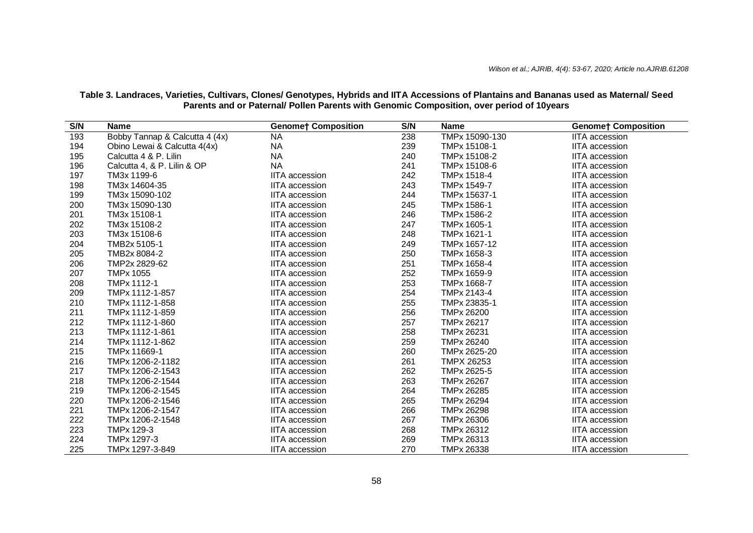| S/N | <b>Name</b>                    | <b>Genome† Composition</b> | S/N | <b>Name</b>       | <b>Genome† Composition</b> |
|-----|--------------------------------|----------------------------|-----|-------------------|----------------------------|
| 193 | Bobby Tannap & Calcutta 4 (4x) | <b>NA</b>                  | 238 | TMPx 15090-130    | <b>IITA</b> accession      |
| 194 | Obino Lewai & Calcutta 4(4x)   | <b>NA</b>                  | 239 | TMPx 15108-1      | <b>IITA</b> accession      |
| 195 | Calcutta 4 & P. Lilin          | <b>NA</b>                  | 240 | TMPx 15108-2      | <b>IITA</b> accession      |
| 196 | Calcutta 4, & P. Lilin & OP    | <b>NA</b>                  | 241 | TMPx 15108-6      | <b>IITA</b> accession      |
| 197 | TM3x 1199-6                    | <b>IITA</b> accession      | 242 | TMPx 1518-4       | <b>IITA</b> accession      |
| 198 | TM3x 14604-35                  | <b>IITA</b> accession      | 243 | TMPx 1549-7       | <b>IITA</b> accession      |
| 199 | TM3x 15090-102                 | <b>IITA</b> accession      | 244 | TMPx 15637-1      | <b>IITA</b> accession      |
| 200 | TM3x 15090-130                 | <b>IITA</b> accession      | 245 | TMPx 1586-1       | <b>IITA</b> accession      |
| 201 | TM3x 15108-1                   | <b>IITA</b> accession      | 246 | TMPx 1586-2       | <b>IITA</b> accession      |
| 202 | TM3x 15108-2                   | <b>IITA</b> accession      | 247 | TMPx 1605-1       | <b>IITA</b> accession      |
| 203 | TM3x 15108-6                   | <b>IITA</b> accession      | 248 | TMPx 1621-1       | <b>IITA</b> accession      |
| 204 | TMB2x 5105-1                   | <b>IITA</b> accession      | 249 | TMPx 1657-12      | <b>IITA</b> accession      |
| 205 | TMB2x 8084-2                   | <b>IITA</b> accession      | 250 | TMPx 1658-3       | <b>IITA</b> accession      |
| 206 | TMP2x 2829-62                  | <b>IITA</b> accession      | 251 | TMPx 1658-4       | <b>IITA</b> accession      |
| 207 | <b>TMPx 1055</b>               | <b>IITA</b> accession      | 252 | TMPx 1659-9       | <b>IITA</b> accession      |
| 208 | TMPx 1112-1                    | <b>IITA</b> accession      | 253 | TMPx 1668-7       | <b>IITA</b> accession      |
| 209 | TMPx 1112-1-857                | <b>IITA</b> accession      | 254 | TMPx 2143-4       | <b>IITA</b> accession      |
| 210 | TMPx 1112-1-858                | <b>IITA</b> accession      | 255 | TMPx 23835-1      | <b>IITA</b> accession      |
| 211 | TMPx 1112-1-859                | <b>IITA</b> accession      | 256 | TMPx 26200        | <b>IITA</b> accession      |
| 212 | TMPx 1112-1-860                | <b>IITA</b> accession      | 257 | TMPx 26217        | <b>IITA</b> accession      |
| 213 | TMPx 1112-1-861                | <b>IITA</b> accession      | 258 | TMPx 26231        | <b>IITA</b> accession      |
| 214 | TMPx 1112-1-862                | <b>IITA</b> accession      | 259 | TMPx 26240        | <b>IITA</b> accession      |
| 215 | TMPx 11669-1                   | <b>IITA</b> accession      | 260 | TMPx 2625-20      | <b>IITA</b> accession      |
| 216 | TMPx 1206-2-1182               | <b>IITA</b> accession      | 261 | <b>TMPX 26253</b> | <b>IITA</b> accession      |
| 217 | TMPx 1206-2-1543               | <b>IITA</b> accession      | 262 | TMPx 2625-5       | <b>IITA</b> accession      |
| 218 | TMPx 1206-2-1544               | <b>IITA</b> accession      | 263 | TMPx 26267        | <b>IITA</b> accession      |
| 219 | TMPx 1206-2-1545               | <b>IITA</b> accession      | 264 | TMPx 26285        | <b>IITA</b> accession      |
| 220 | TMPx 1206-2-1546               | <b>IITA</b> accession      | 265 | TMPx 26294        | <b>IITA</b> accession      |
| 221 | TMPx 1206-2-1547               | <b>IITA</b> accession      | 266 | TMPx 26298        | <b>IITA</b> accession      |
| 222 | TMPx 1206-2-1548               | <b>IITA</b> accession      | 267 | TMPx 26306        | <b>IITA</b> accession      |
| 223 | TMPx 129-3                     | <b>IITA</b> accession      | 268 | TMPx 26312        | <b>IITA</b> accession      |
| 224 | TMPx 1297-3                    | <b>IITA</b> accession      | 269 | TMPx 26313        | <b>IITA</b> accession      |
| 225 | TMPx 1297-3-849                | <b>IITA</b> accession      | 270 | TMPx 26338        | <b>IITA</b> accession      |

**Table 3. Landraces, Varieties, Cultivars, Clones/ Genotypes, Hybrids and IITA Accessions of Plantains and Bananas used as Maternal/ Seed Parents and or Paternal/ Pollen Parents with Genomic Composition, over period of 10years**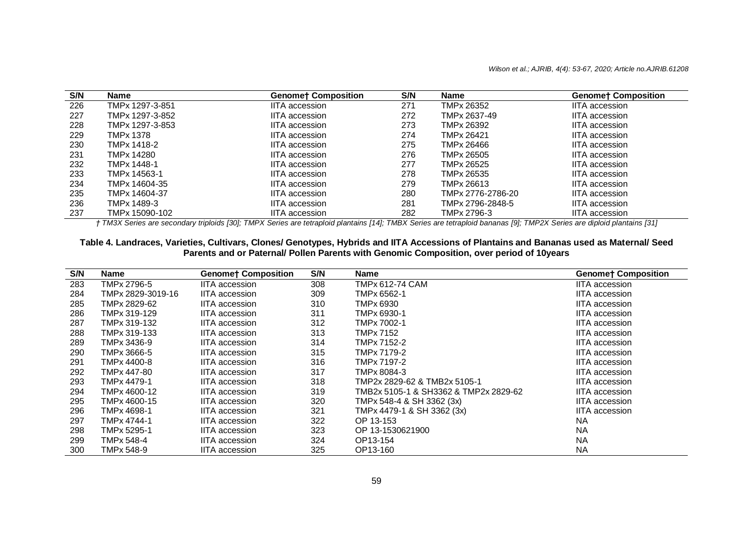| S/N | <b>Name</b>      | <b>Genomet Composition</b> | S/N | <b>Name</b>       | <b>Genomet Composition</b> |
|-----|------------------|----------------------------|-----|-------------------|----------------------------|
| 226 | TMPx 1297-3-851  | IITA accession             | 271 | TMPx 26352        | IITA accession             |
| 227 | TMPx 1297-3-852  | <b>IITA</b> accession      | 272 | TMPx 2637-49      | IITA accession             |
| 228 | TMPx 1297-3-853  | <b>IITA</b> accession      | 273 | TMPx 26392        | <b>IITA</b> accession      |
| 229 | <b>TMPx 1378</b> | <b>IITA</b> accession      | 274 | TMPx 26421        | <b>IITA</b> accession      |
| 230 | TMPx 1418-2      | <b>IITA</b> accession      | 275 | TMPx 26466        | <b>IITA</b> accession      |
| 231 | TMPx 14280       | <b>IITA</b> accession      | 276 | TMPx 26505        | IITA accession             |
| 232 | TMPx 1448-1      | <b>IITA</b> accession      | 277 | TMPx 26525        | IITA accession             |
| 233 | TMPx 14563-1     | <b>IITA</b> accession      | 278 | TMPx 26535        | <b>IITA</b> accession      |
| 234 | TMPx 14604-35    | <b>IITA</b> accession      | 279 | TMPx 26613        | <b>IITA</b> accession      |
| 235 | TMPx 14604-37    | <b>IITA</b> accession      | 280 | TMPx 2776-2786-20 | <b>IITA</b> accession      |
| 236 | TMPx 1489-3      | <b>IITA</b> accession      | 281 | TMPx 2796-2848-5  | IITA accession             |
| 237 | TMPx 15090-102   | <b>IITA</b> accession      | 282 | TMPx 2796-3       | <b>IITA</b> accession      |

*† TM3X Series are secondary triploids [30]; TMPX Series are tetraploid plantains [14]; TMBX Series are tetraploid bananas [9]; TMP2X Series are diploid plantains [31]*

#### **Table 4. Landraces, Varieties, Cultivars, Clones/ Genotypes, Hybrids and IITA Accessions of Plantains and Bananas used as Maternal/ Seed Parents and or Paternal/ Pollen Parents with Genomic Composition, over period of 10years**

| S/N | <b>Name</b>       | <b>Genomet Composition</b> | S/N | <b>Name</b>                           | <b>Genomet Composition</b> |
|-----|-------------------|----------------------------|-----|---------------------------------------|----------------------------|
| 283 | TMPx 2796-5       | <b>IITA</b> accession      | 308 | TMPx 612-74 CAM                       | <b>IITA</b> accession      |
| 284 | TMPx 2829-3019-16 | <b>IITA</b> accession      | 309 | TMPx 6562-1                           | <b>IITA</b> accession      |
| 285 | TMPx 2829-62      | <b>IITA</b> accession      | 310 | TMPx 6930                             | <b>IITA</b> accession      |
| 286 | TMPx 319-129      | <b>IITA</b> accession      | 311 | TMPx 6930-1                           | <b>IITA</b> accession      |
| 287 | TMPx 319-132      | <b>IITA</b> accession      | 312 | TMPx 7002-1                           | <b>IITA</b> accession      |
| 288 | TMPx 319-133      | <b>IITA</b> accession      | 313 | TMPx 7152                             | <b>IITA</b> accession      |
| 289 | TMPx 3436-9       | <b>IITA</b> accession      | 314 | TMPx 7152-2                           | <b>IITA</b> accession      |
| 290 | TMPx 3666-5       | <b>IITA</b> accession      | 315 | TMPx 7179-2                           | <b>IITA</b> accession      |
| 291 | TMPx 4400-8       | <b>IITA</b> accession      | 316 | TMPx 7197-2                           | <b>IITA</b> accession      |
| 292 | TMPx 447-80       | <b>IITA</b> accession      | 317 | TMPx 8084-3                           | <b>IITA</b> accession      |
| 293 | TMPx 4479-1       | <b>IITA</b> accession      | 318 | TMP2x 2829-62 & TMB2x 5105-1          | <b>IITA</b> accession      |
| 294 | TMPx 4600-12      | <b>IITA</b> accession      | 319 | TMB2x 5105-1 & SH3362 & TMP2x 2829-62 | <b>IITA</b> accession      |
| 295 | TMPx 4600-15      | <b>IITA</b> accession      | 320 | TMPx 548-4 & SH 3362 (3x)             | <b>IITA</b> accession      |
| 296 | TMPx 4698-1       | <b>IITA</b> accession      | 321 | TMPx 4479-1 & SH 3362 (3x)            | <b>IITA</b> accession      |
| 297 | TMPx 4744-1       | <b>IITA</b> accession      | 322 | OP 13-153                             | ΝA                         |
| 298 | TMPx 5295-1       | <b>IITA</b> accession      | 323 | OP 13-1530621900                      | <b>NA</b>                  |
| 299 | TMPx 548-4        | <b>IITA</b> accession      | 324 | OP13-154                              | <b>NA</b>                  |
| 300 | TMPx 548-9        | <b>IITA</b> accession      | 325 | OP13-160                              | <b>NA</b>                  |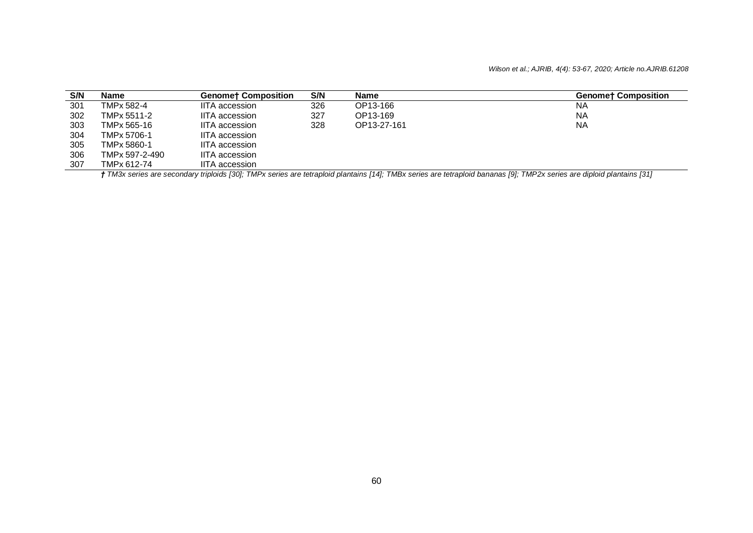#### *Wilson et al.; AJRIB, 4(4): 53-67, 2020; Article no.AJRIB.61208*

| S/N | Name                                                                                                                                                                           | <b>Genomet Composition</b> | S/N | Name        | <b>Genomet Composition</b> |  |  |
|-----|--------------------------------------------------------------------------------------------------------------------------------------------------------------------------------|----------------------------|-----|-------------|----------------------------|--|--|
| 301 | TMPx 582-4                                                                                                                                                                     | <b>IITA</b> accession      | 326 | OP13-166    | NA                         |  |  |
| 302 | TMPx 5511-2                                                                                                                                                                    | <b>IITA</b> accession      | 327 | OP13-169    | <b>NA</b>                  |  |  |
| 303 | TMPx 565-16                                                                                                                                                                    | <b>IITA</b> accession      | 328 | OP13-27-161 | <b>NA</b>                  |  |  |
| 304 | TMPx 5706-1                                                                                                                                                                    | <b>IITA</b> accession      |     |             |                            |  |  |
| 305 | TMPx 5860-1                                                                                                                                                                    | <b>IITA</b> accession      |     |             |                            |  |  |
| 306 | TMPx 597-2-490                                                                                                                                                                 | <b>IITA</b> accession      |     |             |                            |  |  |
| 307 | TMPx 612-74                                                                                                                                                                    | <b>IITA</b> accession      |     |             |                            |  |  |
|     | <b>+ TM3</b> y series are secondary triploids [30]; TMPy series are tetraploid plantains [14]; TMRy series are tetraploid bananas [9]; TMP2y series are diploid plantains [31] |                            |     |             |                            |  |  |

*† TM3x series are secondary triploids [30]; TMPx series are tetraploid plantains [14]; TMBx series are tetraploid bananas [9]; TMP2x series are diploid plantains [31]*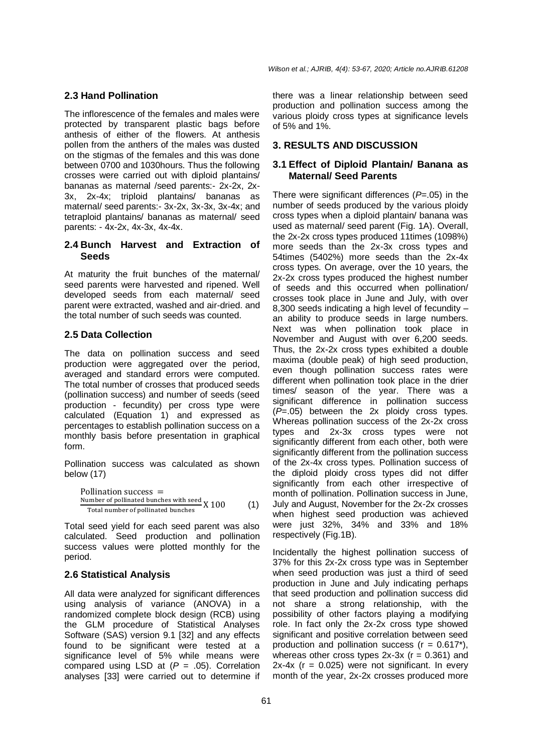*Wilson et al.; AJRIB, 4(4): 53-67, 2020; Article no.AJRIB.61208*

### **2.3 Hand Pollination**

The inflorescence of the females and males were protected by transparent plastic bags before anthesis of either of the flowers. At anthesis pollen from the anthers of the males was dusted on the stigmas of the females and this was done between 0700 and 1030hours. Thus the following crosses were carried out with diploid plantains/ bananas as maternal /seed parents:- 2x-2x, 2x-3x, 2x-4x; triploid plantains/ bananas as maternal/ seed parents:- 3x-2x, 3x-3x, 3x-4x; and tetraploid plantains/ bananas as maternal/ seed parents: - 4x-2x, 4x-3x, 4x-4x.

#### **2.4 Bunch Harvest and Extraction of Seeds**

At maturity the fruit bunches of the maternal/ seed parents were harvested and ripened. Well developed seeds from each maternal/ seed parent were extracted, washed and air-dried. and the total number of such seeds was counted.

## **2.5 Data Collection**

The data on pollination success and seed production were aggregated over the period, averaged and standard errors were computed. The total number of crosses that produced seeds (pollination success) and number of seeds (seed production - fecundity) per cross type were calculated (Equation 1) and expressed as percentages to establish pollination success on a monthly basis before presentation in graphical form.

Pollination success was calculated as shown below (17)

Pollination success = Number of pollinated bunches with seed Total number of pollinated bunches X 100 (1)

Total seed yield for each seed parent was also calculated. Seed production and pollination success values were plotted monthly for the period.

# **2.6 Statistical Analysis**

All data were analyzed for significant differences using analysis of variance (ANOVA) in a randomized complete block design (RCB) using the GLM procedure of Statistical Analyses Software (SAS) version 9.1 [32] and any effects found to be significant were tested at a significance level of 5% while means were compared using LSD at (*P* = .05). Correlation analyses [33] were carried out to determine if

there was a linear relationship between seed production and pollination success among the various ploidy cross types at significance levels of 5% and 1%.

## **3. RESULTS AND DISCUSSION**

#### **3.1 Effect of Diploid Plantain/ Banana as Maternal/ Seed Parents**

There were significant differences (*P*=.05) in the number of seeds produced by the various ploidy cross types when a diploid plantain/ banana was used as maternal/ seed parent (Fig. 1A). Overall, the 2x-2x cross types produced 11times (1098%) more seeds than the 2x-3x cross types and 54times (5402%) more seeds than the 2x-4x cross types. On average, over the 10 years, the 2x-2x cross types produced the highest number of seeds and this occurred when pollination/ crosses took place in June and July, with over 8,300 seeds indicating a high level of fecundity – an ability to produce seeds in large numbers. Next was when pollination took place in November and August with over 6,200 seeds. Thus, the 2x-2x cross types exhibited a double maxima (double peak) of high seed production, even though pollination success rates were different when pollination took place in the drier times/ season of the year. There was a significant difference in pollination success  $(\overrightarrow{P}=.05)$  between the 2x ploidy cross types. Whereas pollination success of the 2x-2x cross types and 2x-3x cross types were not significantly different from each other, both were significantly different from the pollination success of the 2x-4x cross types. Pollination success of the diploid ploidy cross types did not differ significantly from each other irrespective of month of pollination. Pollination success in June, July and August, November for the 2x-2x crosses when highest seed production was achieved were just 32%, 34% and 33% and 18% respectively (Fig.1B).

Incidentally the highest pollination success of 37% for this 2x-2x cross type was in September when seed production was just a third of seed production in June and July indicating perhaps that seed production and pollination success did not share a strong relationship, with the possibility of other factors playing a modifying role. In fact only the 2x-2x cross type showed significant and positive correlation between seed production and pollination success  $(r = 0.617^*)$ , whereas other cross types  $2x-3x$  ( $r = 0.361$ ) and  $2x-4x$  (r = 0.025) were not significant. In every month of the year, 2x-2x crosses produced more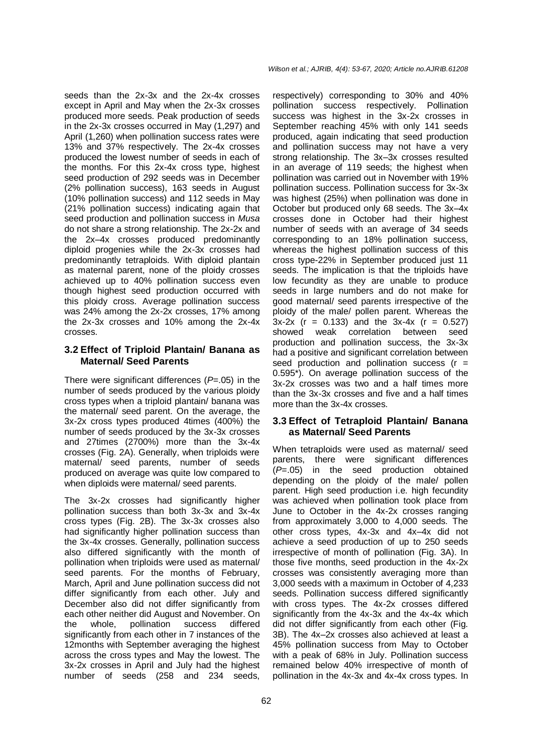seeds than the 2x-3x and the 2x-4x crosses except in April and May when the 2x-3x crosses produced more seeds. Peak production of seeds in the 2x-3x crosses occurred in May (1,297) and April (1,260) when pollination success rates were 13% and 37% respectively. The 2x-4x crosses produced the lowest number of seeds in each of the months. For this 2x-4x cross type, highest seed production of 292 seeds was in December (2% pollination success), 163 seeds in August (10% pollination success) and 112 seeds in May (21% pollination success) indicating again that seed production and pollination success in *Musa* do not share a strong relationship. The 2x-2x and the 2x–4x crosses produced predominantly diploid progenies while the 2x-3x crosses had predominantly tetraploids. With diploid plantain as maternal parent, none of the ploidy crosses achieved up to 40% pollination success even though highest seed production occurred with this ploidy cross. Average pollination success was 24% among the 2x-2x crosses, 17% among the 2x-3x crosses and 10% among the 2x-4x crosses.

#### **3.2 Effect of Triploid Plantain/ Banana as Maternal/ Seed Parents**

There were significant differences (*P*=.05) in the number of seeds produced by the various ploidy cross types when a triploid plantain/ banana was the maternal/ seed parent. On the average, the 3x-2x cross types produced 4times (400%) the number of seeds produced by the 3x-3x crosses and 27times (2700%) more than the 3x-4x crosses (Fig. 2A). Generally, when triploids were maternal/ seed parents, number of seeds produced on average was quite low compared to when diploids were maternal/ seed parents.

The 3x-2x crosses had significantly higher pollination success than both 3x-3x and 3x-4x cross types (Fig. 2B). The 3x-3x crosses also had significantly higher pollination success than the 3x-4x crosses. Generally, pollination success also differed significantly with the month of pollination when triploids were used as maternal/ seed parents. For the months of February, March, April and June pollination success did not differ significantly from each other. July and December also did not differ significantly from each other neither did August and November. On the whole, pollination success differed significantly from each other in 7 instances of the 12months with September averaging the highest across the cross types and May the lowest. The 3x-2x crosses in April and July had the highest number of seeds (258 and 234 seeds,

respectively) corresponding to 30% and 40% pollination success respectively. Pollination success was highest in the 3x-2x crosses in September reaching 45% with only 141 seeds produced, again indicating that seed production and pollination success may not have a very strong relationship. The 3x–3x crosses resulted in an average of 119 seeds; the highest when pollination was carried out in November with 19% pollination success. Pollination success for 3x-3x was highest (25%) when pollination was done in October but produced only 68 seeds. The 3x–4x crosses done in October had their highest number of seeds with an average of 34 seeds corresponding to an 18% pollination success, whereas the highest pollination success of this cross type-22% in September produced just 11 seeds. The implication is that the triploids have low fecundity as they are unable to produce seeds in large numbers and do not make for good maternal/ seed parents irrespective of the ploidy of the male/ pollen parent. Whereas the  $3x-2x$  (r = 0.133) and the  $3x-4x$  (r = 0.527) showed weak correlation between seed production and pollination success, the 3x-3x had a positive and significant correlation between seed production and pollination success  $(r =$ 0.595\*). On average pollination success of the 3x-2x crosses was two and a half times more than the 3x-3x crosses and five and a half times more than the 3x-4x crosses.

## **3.3 Effect of Tetraploid Plantain/ Banana as Maternal/ Seed Parents**

When tetraploids were used as maternal/ seed parents, there were significant differences (*P*=.05) in the seed production obtained depending on the ploidy of the male/ pollen parent. High seed production i.e. high fecundity was achieved when pollination took place from June to October in the 4x-2x crosses ranging from approximately 3,000 to 4,000 seeds. The other cross types, 4x-3x and 4x–4x did not achieve a seed production of up to 250 seeds irrespective of month of pollination (Fig. 3A). In those five months, seed production in the 4x-2x crosses was consistently averaging more than 3,000 seeds with a maximum in October of 4,233 seeds. Pollination success differed significantly with cross types. The 4x-2x crosses differed significantly from the 4x-3x and the 4x-4x which did not differ significantly from each other (Fig. 3B). The 4x–2x crosses also achieved at least a 45% pollination success from May to October with a peak of 68% in July. Pollination success remained below 40% irrespective of month of pollination in the 4x-3x and 4x-4x cross types. In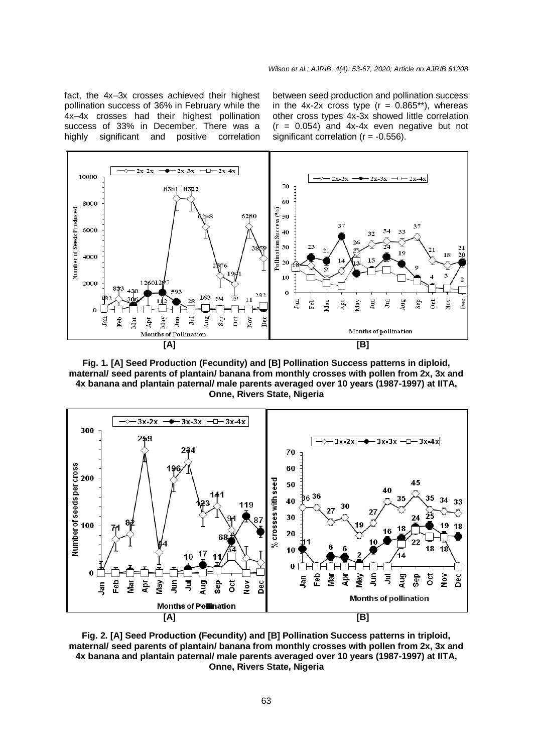fact, the 4x–3x crosses achieved their highest pollination success of 36% in February while the 4x–4x crosses had their highest pollination success of 33% in December. There was a highly significant and positive correlation between seed production and pollination success in the 4x-2x cross type  $(r = 0.865**)$ , whereas other cross types 4x-3x showed little correlation  $(r = 0.054)$  and  $4x-4x$  even negative but not significant correlation  $(r = -0.556)$ .



**Fig. 1. [A] Seed Production (Fecundity) and [B] Pollination Success patterns in diploid, maternal/ seed parents of plantain/ banana from monthly crosses with pollen from 2x, 3x and 4x banana and plantain paternal/ male parents averaged over 10 years (1987-1997) at IITA, Onne, Rivers State, Nigeria**



**Fig. 2. [A] Seed Production (Fecundity) and [B] Pollination Success patterns in triploid, maternal/ seed parents of plantain/ banana from monthly crosses with pollen from 2x, 3x and 4x banana and plantain paternal/ male parents averaged over 10 years (1987-1997) at IITA, Onne, Rivers State, Nigeria**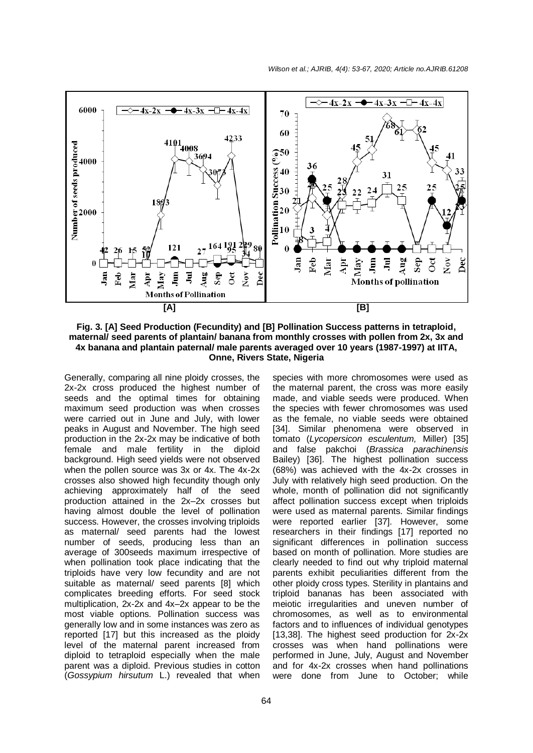

**Fig. 3. [A] Seed Production (Fecundity) and [B] Pollination Success patterns in tetraploid, maternal/ seed parents of plantain/ banana from monthly crosses with pollen from 2x, 3x and 4x banana and plantain paternal/ male parents averaged over 10 years (1987-1997) at IITA, Onne, Rivers State, Nigeria**

Generally, comparing all nine ploidy crosses, the 2x-2x cross produced the highest number of seeds and the optimal times for obtaining maximum seed production was when crosses were carried out in June and July, with lower peaks in August and November. The high seed production in the 2x-2x may be indicative of both female and male fertility in the diploid background. High seed yields were not observed when the pollen source was 3x or 4x. The 4x-2x crosses also showed high fecundity though only achieving approximately half of the seed production attained in the 2x–2x crosses but having almost double the level of pollination success. However, the crosses involving triploids as maternal/ seed parents had the lowest number of seeds, producing less than an average of 300seeds maximum irrespective of when pollination took place indicating that the triploids have very low fecundity and are not suitable as maternal/ seed parents [8] which complicates breeding efforts. For seed stock multiplication, 2x-2x and 4x–2x appear to be the most viable options. Pollination success was generally low and in some instances was zero as reported [17] but this increased as the ploidy level of the maternal parent increased from diploid to tetraploid especially when the male parent was a diploid. Previous studies in cotton (*Gossypium hirsutum* L.) revealed that when

species with more chromosomes were used as the maternal parent, the cross was more easily made, and viable seeds were produced. When the species with fewer chromosomes was used as the female, no viable seeds were obtained [34]. Similar phenomena were observed in tomato (*Lycopersicon esculentum,* Miller) [35] and false pakchoi (*Brassica parachinensis*  Bailey) [36]. The highest pollination success (68%) was achieved with the 4x-2x crosses in July with relatively high seed production. On the whole, month of pollination did not significantly affect pollination success except when triploids were used as maternal parents. Similar findings were reported earlier [37]. However, some researchers in their findings [17] reported no significant differences in pollination success based on month of pollination. More studies are clearly needed to find out why triploid maternal parents exhibit peculiarities different from the other ploidy cross types. Sterility in plantains and triploid bananas has been associated with meiotic irregularities and uneven number of chromosomes, as well as to environmental factors and to influences of individual genotypes [13,38]. The highest seed production for 2x-2x crosses was when hand pollinations were performed in June, July, August and November and for 4x-2x crosses when hand pollinations were done from June to October; while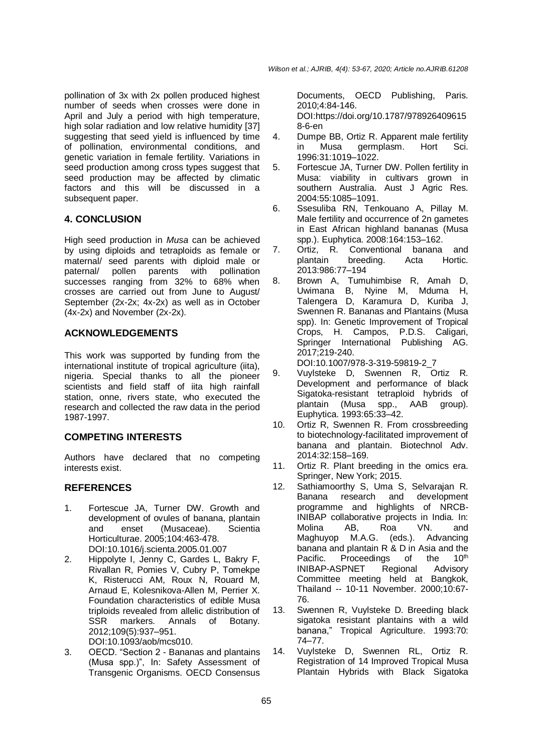pollination of 3x with 2x pollen produced highest number of seeds when crosses were done in April and July a period with high temperature, high solar radiation and low relative humidity [37] suggesting that seed yield is influenced by time of pollination, environmental conditions, and genetic variation in female fertility. Variations in seed production among cross types suggest that seed production may be affected by climatic factors and this will be discussed in a subsequent paper.

# **4. CONCLUSION**

High seed production in *Musa* can be achieved by using diploids and tetraploids as female or maternal/ seed parents with diploid male or<br>paternal/ pollen parents with pollination paternal/ pollen parents with successes ranging from 32% to 68% when crosses are carried out from June to August/ September (2x-2x; 4x-2x) as well as in October (4x-2x) and November (2x-2x).

## **ACKNOWLEDGEMENTS**

This work was supported by funding from the international institute of tropical agriculture (iita), nigeria. Special thanks to all the pioneer scientists and field staff of iita high rainfall station, onne, rivers state, who executed the research and collected the raw data in the period 1987-1997.

# **COMPETING INTERESTS**

Authors have declared that no competing interests exist.

# **REFERENCES**

- 1. Fortescue JA, Turner DW. Growth and development of ovules of banana, plantain and enset (Musaceae). Scientia Horticulturae. 2005;104:463-478. DOI:10.1016/j.scienta.2005.01.007
- 2. Hippolyte I, Jenny C, Gardes L, Bakry F, Rivallan R, Pomies V, Cubry P, Tomekpe K, Risterucci AM, Roux N, Rouard M, Arnaud E, Kolesnikova-Allen M, Perrier X. Foundation characteristics of edible Musa triploids revealed from allelic distribution of SSR markers. Annals of Botany. 2012;109(5):937–951.

DOI:10.1093/aob/mcs010. 3. OECD. "Section 2 - Bananas and plantains

(Musa spp.)", In: Safety Assessment of Transgenic Organisms. OECD Consensus Documents, OECD Publishing, Paris. 2010;4:84-146.

DOI:https://doi.org/10.1787/978926409615 8-6-en

- 4. Dumpe BB, Ortiz R. Apparent male fertility in Musa germplasm. Hort Sci. 1996:31:1019–1022.
- 5. Fortescue JA, Turner DW. Pollen fertility in Musa: viability in cultivars grown in southern Australia. Aust J Agric Res. 2004:55:1085–1091.
- 6. Ssesuliba RN, Tenkouano A, Pillay M. Male fertility and occurrence of 2n gametes in East African highland bananas (Musa spp.). Euphytica. 2008:164:153–162.
- 7. Ortiz, R. Conventional banana and plantain breeding. Acta Hortic. 2013:986:77–194
- 8. Brown A, Tumuhimbise R, Amah D, Uwimana B, Nyine M, Mduma H, Talengera D, Karamura D, Kuriba J, Swennen R. Bananas and Plantains (Musa spp). In: Genetic Improvement of Tropical Crops, H. Campos, P.D.S. Caligari, Springer International Publishing AG. 2017;219-240.

DOI:10.1007/978-3-319-59819-2\_7

- 9. Vuylsteke D, Swennen R, Ortiz R. Development and performance of black Sigatoka-resistant tetraploid hybrids of plantain (Musa spp., AAB group). Euphytica. 1993:65:33–42.
- 10. Ortiz R, Swennen R. From crossbreeding to biotechnology-facilitated improvement of banana and plantain. Biotechnol Adv. 2014:32:158–169.
- 11. Ortiz R. Plant breeding in the omics era. Springer, New York; 2015.
- 12. Sathiamoorthy S, Uma S, Selvarajan R. Banana research and development programme and highlights of NRCB-INIBAP collaborative projects in India. In: Molina AB, Roa VN. and Maghuyop M.A.G. (eds.). Advancing banana and plantain R & D in Asia and the Pacific. Proceedings of the  $10<sup>th</sup>$ INIBAP-ASPNET Regional Advisory Committee meeting held at Bangkok, Thailand -- 10-11 November. 2000;10:67- 76.
- 13. Swennen R, Vuylsteke D. Breeding black sigatoka resistant plantains with a wild banana," Tropical Agriculture. 1993:70: 74–77.
- 14. Vuylsteke D, Swennen RL, Ortiz R. Registration of 14 Improved Tropical Musa Plantain Hybrids with Black Sigatoka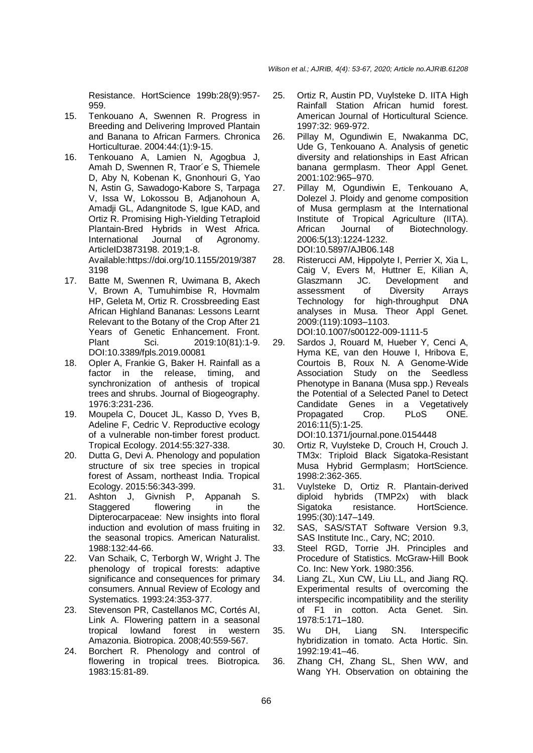Resistance. HortScience 199b:28(9):957- 959.

- 15. Tenkouano A, Swennen R. Progress in Breeding and Delivering Improved Plantain and Banana to African Farmers. Chronica Horticulturae. 2004:44:(1):9-15.
- 16. Tenkouano A, Lamien N, Agogbua J, Amah D, Swennen R, Traor´e S, Thiemele D, Aby N, Kobenan K, Gnonhouri G, Yao N, Astin G, Sawadogo-Kabore S, Tarpaga V, Issa W, Lokossou B, Adjanohoun A, Amadji GL, Adangnitode S, Igue KAD, and Ortiz R. Promising High-Yielding Tetraploid Plantain-Bred Hybrids in West Africa. International Journal of Agronomy. ArticleID3873198. 2019;1-8. Available:https://doi.org/10.1155/2019/387 3198
- 17. Batte M, Swennen R, Uwimana B, Akech V, Brown A, Tumuhimbise R, Hovmalm HP, Geleta M, Ortiz R. Crossbreeding East African Highland Bananas: Lessons Learnt Relevant to the Botany of the Crop After 21 Years of Genetic Enhancement. Front. Plant Sci. 2019:10(81):1-9. DOI:10.3389/fpls.2019.00081
- 18. Opler A, Frankie G, Baker H. Rainfall as a factor in the release, timing, and synchronization of anthesis of tropical trees and shrubs. Journal of Biogeography. 1976:3:231-236.
- 19. Moupela C, Doucet JL, Kasso D, Yves B, Adeline F, Cedric V. Reproductive ecology of a vulnerable non-timber forest product. Tropical Ecology. 2014:55:327-338.
- 20. Dutta G, Devi A. Phenology and population structure of six tree species in tropical forest of Assam, northeast India. Tropical Ecology. 2015:56:343-399.
- 21. Ashton J, Givnish P, Appanah S. Staggered flowering in the Dipterocarpaceae: New insights into floral induction and evolution of mass fruiting in the seasonal tropics. American Naturalist. 1988:132:44-66.
- 22. Van Schaik, C, Terborgh W, Wright J. The phenology of tropical forests: adaptive significance and consequences for primary consumers. Annual Review of Ecology and Systematics. 1993:24:353-377.
- 23. Stevenson PR, Castellanos MC, Cortés AI, Link A. Flowering pattern in a seasonal tropical lowland forest in western Amazonia. Biotropica. 2008;40:559-567.
- 24. Borchert R. Phenology and control of flowering in tropical trees. Biotropica. 1983:15:81-89.
- 25. Ortiz R, Austin PD, Vuylsteke D. IITA High Rainfall Station African humid forest. American Journal of Horticultural Science. 1997:32: 969-972.
- 26. Pillay M, Ogundiwin E, Nwakanma DC, Ude G, Tenkouano A. Analysis of genetic diversity and relationships in East African banana germplasm. Theor Appl Genet. 2001:102:965–970.
- 27. Pillay M, Ogundiwin E, Tenkouano A, Dolezel J. Ploidy and genome composition of Musa germplasm at the International Institute of Tropical Agriculture (IITA).<br>African Journal of Biotechnology. African Journal of Biotechnology. 2006:5(13):1224-1232. DOI:10.5897/AJB06.148
- 28. Risterucci AM, Hippolyte I, Perrier X, Xia L, Caig V, Evers M, Huttner E, Kilian A, Glaszmann JC. Development and assessment of Diversity Arrays Technology for high-throughput DNA analyses in Musa. Theor Appl Genet. 2009:(119):1093–1103. DOI:10.1007/s00122-009-1111-5
- 29. Sardos J, Rouard M, Hueber Y, Cenci A, Hyma KE, van den Houwe I, Hribova E, Courtois B, Roux N. A Genome-Wide Association Study on the Seedless Phenotype in Banana (Musa spp.) Reveals the Potential of a Selected Panel to Detect Candidate Genes in a Vegetatively Propagated Crop. PLoS ONE. 2016:11(5):1-25.
- DOI:10.1371/journal.pone.0154448
- 30. Ortiz R, Vuylsteke D, Crouch H, Crouch J. TM3x: Triploid Black Sigatoka-Resistant Musa Hybrid Germplasm; HortScience. 1998:2:362-365.
- 31. Vuylsteke D, Ortiz R. Plantain-derived diploid hybrids (TMP2x) with black Sigatoka resistance. HortScience. 1995:(30):147–149.
- 32. SAS, SAS/STAT Software Version 9.3, SAS Institute Inc., Cary, NC; 2010.
- 33. Steel RGD, Torrie JH. Principles and Procedure of Statistics. McGraw-Hill Book Co. Inc: New York. 1980:356.
- 34. Liang ZL, Xun CW, Liu LL, and Jiang RQ. Experimental results of overcoming the interspecific incompatibility and the sterility of F1 in cotton. Acta Genet. Sin. 1978:5:171–180.
- 35. Wu DH, Liang SN. Interspecific hybridization in tomato. Acta Hortic. Sin. 1992:19:41–46.
- 36. Zhang CH, Zhang SL, Shen WW, and Wang YH. Observation on obtaining the